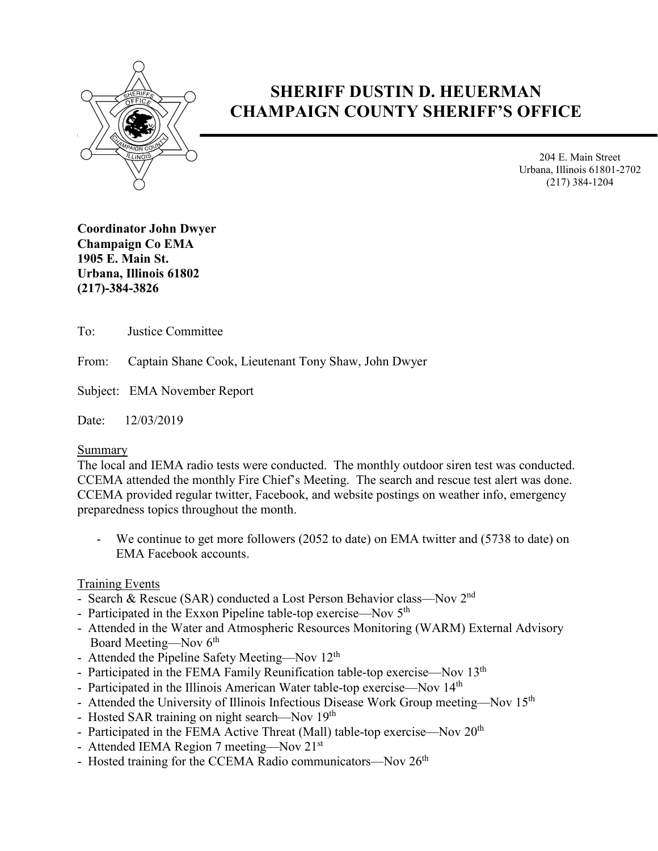

# **SHERIFF DUSTIN D. HEUERMAN CHAMPAIGN COUNTY SHERIFF'S OFFICE**

204 E. Main Street Urbana, Illinois 61801-2702 (217) 384-1204

**Coordinator John Dwyer Champaign Co EMA 1905 E. Main St. Urbana, Illinois 61802 (217)-384-3826**

To: Justice Committee

From: Captain Shane Cook, Lieutenant Tony Shaw, John Dwyer

Subject: EMA November Report

Date: 12/03/2019

Summary

The local and IEMA radio tests were conducted. The monthly outdoor siren test was conducted. CCEMA attended the monthly Fire Chief's Meeting. The search and rescue test alert was done. CCEMA provided regular twitter, Facebook, and website postings on weather info, emergency preparedness topics throughout the month.

We continue to get more followers (2052 to date) on EMA twitter and (5738 to date) on EMA Facebook accounts.

#### Training Events

- Search & Rescue (SAR) conducted a Lost Person Behavior class—Nov 2<sup>nd</sup>
- Participated in the Exxon Pipeline table-top exercise—Nov 5<sup>th</sup>
- Attended in the Water and Atmospheric Resources Monitoring (WARM) External Advisory Board Meeting—Nov  $6<sup>th</sup>$
- Attended the Pipeline Safety Meeting—Nov 12<sup>th</sup>
- Participated in the FEMA Family Reunification table-top exercise—Nov  $13<sup>th</sup>$
- Participated in the Illinois American Water table-top exercise—Nov 14<sup>th</sup>
- Attended the University of Illinois Infectious Disease Work Group meeting—Nov 15<sup>th</sup>
- Hosted SAR training on night search—Nov 19<sup>th</sup>
- Participated in the FEMA Active Threat (Mall) table-top exercise—Nov 20<sup>th</sup>
- Attended IEMA Region 7 meeting—Nov 21<sup>st</sup>
- Hosted training for the CCEMA Radio communicators—Nov  $26<sup>th</sup>$